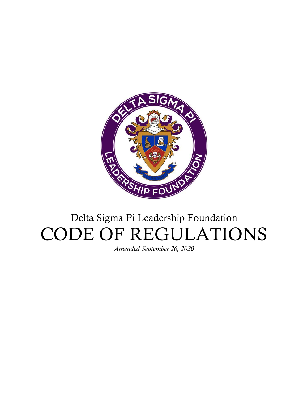

# Delta Sigma Pi Leadership Foundation CODE OF REGULATIONS

*Amended September 26, 2020*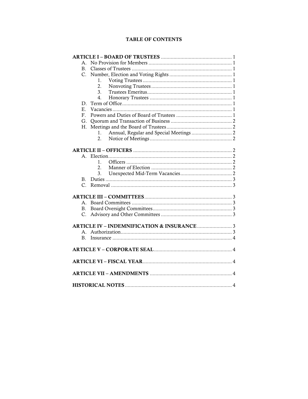# **TABLE OF CONTENTS**

| $\mathsf{A}_{\cdot}$ |
|----------------------|
| Β.                   |
| $C_{\cdot}$          |
| 1.                   |
| $\overline{2}$ .     |
| 3.                   |
| $4_{\cdot}$          |
| D.                   |
| Е.                   |
| F.                   |
| G.                   |
| Н.                   |
| 1.                   |
| 2.                   |
|                      |
|                      |
| $\mathbf{1}$ .       |
| 2.                   |
| 3.                   |
| $\mathbf{B}$         |
| $C_{\cdot}$          |
|                      |
|                      |
| $\mathbf{B}$         |
| C.                   |
|                      |
|                      |
| $A_{\cdot}$          |
| $B_{\cdot}$          |
|                      |
|                      |
|                      |
|                      |
|                      |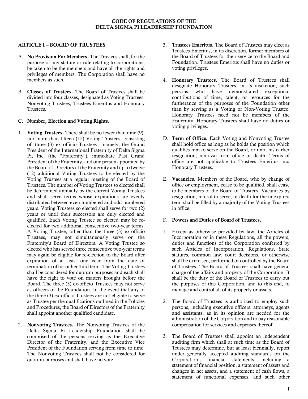## CODE OF REGULATIONS OF THE DELTA SIGMA PI LEADERSHIP FOUNDATION

## ARTICLE I – BOARD OF TRUSTEES

- A. No Provision For Members. The Trustees shall, for the purpose of any statute or rule relating to corporations, be taken to be the members and have all the rights and privileges of members. The Corporation shall have no members as such.
- B. Classes of Trustees. The Board of Trustees shall be divided into four classes, designated as Voting Trustees, Nonvoting Trustees, Trustees Emeritus and Honorary Trustees.

# C. Number, Election and Voting Rights.

- 1. Voting Trustees. There shall be no fewer than nine (9), nor more than fifteen (15) Voting Trustees, consisting of: three (3) ex officio Trustees - namely, the Grand President of the International Fraternity of Delta Sigma Pi, Inc. (the "Fraternity"), immediate Past Grand President of the Fraternity, and one person appointed by the Board of Directors of the Fraternity and up to twelve (12) additional Voting Trustees to be elected by the Voting Trustees at a regular meeting of the Board of Trustees. The number of Voting Trustees so elected shall be determined annually by the current Voting Trustees and shall serve terms whose expirations are evenly distributed between even-numbered and odd-numbered years. Voting Trustees so elected shall serve for two (2) years or until their successors are duly elected and qualified. Each Voting Trustee so elected may be reelected for two additional consecutive two-year terms. A Voting Trustee, other than the three (3) ex-officio Trustees, may not simultaneously serve on the Fraternity's Board of Directors. A Voting Trustee so elected who has served three consecutive two-year terms may again be eligible for re-election to the Board after expiration of at least one year from the date of termination of his or her third term. The Voting Trustees shall be considered for quorum purposes and each shall have the right to vote on matters brought before the Board. The three (3) ex-officio Trustees may not serve as officers of the Foundation. In the event that any of the three (3) ex-officio Trustees are not eligible to serve as Trustee per the qualifications outlined in the Policies and Procedures, the Board of Directors of the Fraternity shall appoint another qualified candidate.
- 2. Nonvoting Trustees. The Nonvoting Trustees of the Delta Sigma Pi Leadership Foundation shall be comprised of the persons serving as the Executive Director of the Fraternity, and the Executive Vice President of the Foundation serving from time to time. The Nonvoting Trustees shall not be considered for quorum purposes and shall have no vote.
- 3. Trustees Emeritus. The Board of Trustees may elect as Trustees Emeritus, in its discretion, former members of the Board of Trustees for their service to the Board and Foundation. Trustees Emeritus shall have no duties or voting privileges.
- 4. Honorary Trustees. The Board of Trustees shall designate Honorary Trustees, in its discretion, such<br>persons who have demonstrated exceptional persons who have demonstrated contributions of time, talent, or resources for the furtherance of the purposes of the Foundation other than by serving as a Voting or Non-Voting Trustee. Honorary Trustees need not be members of the Fraternity. Honorary Trustees shall have no duties or voting privileges.
- D. Term of Office. Each Voting and Nonvoting Trustee shall hold office as long as he holds the position which qualifies him to serve on the Board, or until his earlier resignation, removal from office or death. Terms of office are not applicable to Trustees Emeritus and Honorary Trustees.
- E. Vacancies. Members of the Board, who by change of office or employment, cease to be qualified, shall cease to be members of the Board of Trustees. Vacancies by resignation, refusal to serve, or death for the unexpired term shall be filled by a majority of the Voting Trustees in office.

## F. Powers and Duties of Board of Trustees.

- 1. Except as otherwise provided by law, the Articles of Incorporation or in these Regulations, all the powers, duties and functions of the Corporation conferred by such Articles of Incorporation, Regulations, State statutes, common law, court decisions, or otherwise shall be exercised, performed or controlled by the Board of Trustees. The Board of Trustees shall have general charge of the affairs and property of the Corporation. It shall be the duty of the Board of Trustees to carry out the purposes of this Corporation, and to this end, to manage and control all of its property or assets.
- 2. The Board of Trustees is authorized to employ such persons, including executive officers, attorneys, agents and assistants, as in its opinion are needed for the administration of the Corporation and to pay reasonable compensation for services and expenses thereof.
- 3. The Board of Trustees shall appoint an independent auditing firm which shall at such time as the Board of Trustees may determine, but at least biennially, report under generally accepted auditing standards on the Corporation's financial statements, including a statement of financial position, a statement of assets and changes in net assets, and a statement of cash flows, a statement of functional expenses, and such other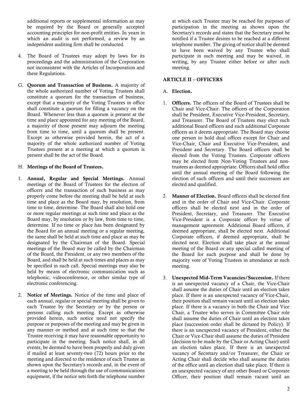additional reports or supplemental information as may be required by the Board or generally accepted accounting principles for non-profit entities. In years in which an audit is not performed, a review by an independent auditing firm shall be conducted.

- 4. The Board of Trustees may adopt by laws for its proceedings and the administration of the Corporation not inconsistent with the Articles of Incorporation and these Regulations.
- G. Quorum and Transaction of Business. A majority of the whole authorized number of Voting Trustees shall constitute a quorum for the transaction of business, except that a majority of the Voting Trustees in office shall constitute a quorum for filling a vacancy on the Board. Whenever less than a quorum is present at the time and place appointed for any meeting of the Board, a majority of those present may adjourn the meeting from time to time, until a quorum shall be present. Except as otherwise provided herein, the act of a majority of the whole authorized number of Voting Trustees present at a meeting at which a quorum is present shall be the act of the Board.

# H. Meetings of the Board of Trustees.

- 1. Annual, Regular and Special Meetings. Annual meetings of the Board of Trustees for the election of officers and the transaction of such business as may properly come before the meeting shall be held at such time and place as the Board may, by resolution, from time to time, determine. The Board shall also hold one or more regular meetings at such time and place as the Board may, by resolution or by law, from time to time, determine. If no time or place has been designated by the Board for an annual meeting or a regular meeting, the same shall be held at such time and place as may be designated by the Chairman of the Board. Special meetings of the Board may be called by the Chairman of the Board, the President, or any two members of the Board, and shall be held at such times and places as may be specified in such call. Special meetings may also be held by means of electronic communication such as telephonic, videoconference, or other similar type of electronic conferencing.
- 2. Notice of Meetings. Notice of the time and place of each annual, regular or special meeting shall be given to each Trustee by the Secretary or by the person or persons calling such meeting. Except as otherwise provided herein, such notice need not specify the purpose or purposes of the meeting and may be given in any manner or method and at such time so that the Trustee receiving it may have reasonable opportunity to participate in the meeting. Such notice shall, in all events, be deemed to have been properly and duly given if mailed at least seventy-two  $(72)$  hours prior to the meeting and directed to the residence of each Trustee as shown upon the Secretary's records and, in the event of a meeting to be held through the use of communications equipment, if the notice sets forth the telephone number

at which each Trustee may be reached for purposes of participation in the meeting as shown upon the Secretary's records and states that the Secretary must be notified if a Trustee desires to be reached at a different telephone number. The giving of notice shall be deemed to have been waived by any Trustee who shall participate in such meeting and may be waived, in writing, by any Trustee either before or after such meeting.

## ARTICLE II – OFFICERS

# A. Election.

- 1. Officers. The officers of the Board of Trustees shall be Chair and Vice-Chair. The officers of the Corporation shall be President, Executive Vice-President, Secretary, and Treasurer. The Board of Trustees may elect such additional Board officers and such additional Corporate officers as it deems appropriate. The Board may choose one person to hold dual offices except for Chair and Vice-Chair, Chair and Executive Vice-President, and President and Secretary. The Board officers shall be elected from the Voting Trustees. Corporate officers may be elected from Non-Voting Trustees and nontrustees as deemed appropriate. Officers shall hold office until the annual meeting of the Board following the election of such officers and until their successors are elected and qualified.
- 2. Manner of Election. Board officers shall be elected first and in the order of Chair and Vice-Chair. Corporate officers shall be elected next and in the order of President, Secretary, and Treasurer. The Executive Vice-President is a Corporate officer by virtue of management agreement. Additional Board officers, if deemed appropriate, shall be elected next. Additional Corporate officers, if deemed appropriate, shall be elected next. Election shall take place at the annual meeting of the Board or any special called meeting of the Board for such purpose and shall be done by majority vote of Voting Trustees in attendance at such meeting.
- 3. Unexpected Mid-Term Vacancies/Succession. If there is an unexpected vacancy of a Chair, the Vice-Chair shall assume the duties of Chair until an election takes place. If there is an unexpected vacancy of Vice-Chair, their position shall remain vacant until an election takes place. If there is a vacancy in both the Chair and Vice Chair, a Trustee who serves in Committee Chair role shall assume the duties of Chair until an election takes place (succession order shall be dictated by Policy). If there is an unexpected vacancy of President, either the Chair or Vice-Chair shall assume the duties of President (decision to be made by the Chair or Acting Chair) until an election takes place. If there is an unexpected vacancy of Secretary and/or Treasurer, the Chair or Acting Chair shall decide who shall assume the duties of the office until an election shall take place. If there is an unexpected vacancy of any other Board or Corporate Officer, their position shall remain vacant until an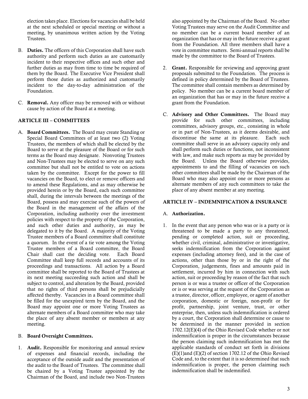election takes place. Elections for vacancies shall be held at the next scheduled or special meeting or without a meeting, by unanimous written action by the Voting Trustees.

- B. Duties. The officers of this Corporation shall have such authority and perform such duties as are customarily incident to their respective offices and such other and further duties as may from time to time be required of them by the Board. The Executive Vice President shall perform those duties as authorized and customarily incident to the day-to-day administration of the Foundation.
- C. Removal. Any officer may be removed with or without cause by action of the Board at a meeting.

# ARTICLE III – COMMITTEES

A. Board Committees. The Board may create Standing or Special Board Committees of at least two (2) Voting Trustees, the members of which shall be elected by the Board to serve at the pleasure of the Board or for such terms as the Board may designate. Nonvoting Trustees and Non-Trustees may be elected to serve on any such committee but shall not be entitled to vote on actions taken by the committee. Except for the power to fill vacancies on the Board, to elect or remove officers and to amend these Regulations, and as may otherwise be provided herein or by the Board, each such committee shall, during the intervals between the meetings of the Board, possess and may exercise such of the powers of the Board in the management of the affairs of the Corporation, including authority over the investment policies with respect to the property of the Corporation, and such other duties and authority, as may be delegated to it by the Board. A majority of the Voting Trustee members of a Board committee shall constitute a quorum. In the event of a tie vote among the Voting Trustee members of a Board committee, the Board Chair shall cast the deciding vote. Each Board Committee shall keep full records and accounts of its proceedings and transactions. All action by a Board committee shall be reported to the Board of Trustees at its next meeting succeeding such action and shall be subject to control, and alteration by the Board, provided that no rights of third persons shall be prejudicially affected thereby. Vacancies in a Board committee shall be filled for the unexpired term by the Board, and the Board may appoint one or more Voting Trustees as alternate members of a Board committee who may take the place of any absent member or members at any meeting.

## B. Board Oversight Committees.

1. Audit. Responsible for monitoring and annual review of expenses and financial records, including the acceptance of the outside audit and the presentation of the audit to the Board of Trustees. The committee shall be chaired by a Voting Trustee appointed by the Chairman of the Board, and include two Non-Trustees

also appointed by the Chairman of the Board. No other Voting Trustees may serve on the Audit Committee and no member can be a current board member of an organization that has or may in the future receive a grant from the Foundation. All three members shall have a vote in committee matters. Semi-annual reports shall be made by the committee to the Board of Trustees.

- 2. Grant. Responsible for reviewing and approving grant proposals submitted to the Foundation. The process is defined in policy determined by the Board of Trustees. The committee shall contain members as determined by policy. No member can be a current board member of an organization that has or may in the future receive a grant from the Foundation.
- C. Advisory and Other Committees. The Board may provide for such other committees, including committees, advisory groups, etc., consisting in whole or in part of Non-Trustees, as it deems desirable, and discontinue the same at its pleasure. Each such committee shall serve in an advisory capacity only and shall perform such duties or functions, not inconsistent with law, and make such reports as may be provided by the Board. Unless the Board otherwise provides, appointments to and the filling of vacancies on such other committees shall be made by the Chairman of the Board who may also appoint one or more persons as alternate members of any such committees to take the place of any absent member at any meeting.

## ARTICLE IV – INDEMNIFICATION & INSURANCE

## A. Authorization.

1. In the event that any person who was or is a party or is threatened to be made a party to any threatened, pending or completed action, suit or proceeding, whether civil, criminal, administrative or investigative, seeks indemnification from the Corporation against expenses (including attorney fees), and in the case of actions, other than those by or in the right of the Corporation, judgements, fines and amounts paid in settlement, incurred by him in connection with such action, suit or proceeding by reason of the fact that such person is or was a trustee or officer of the Corporation or is or was serving at the request of the Corporation as a trustee, director, officer, employee, or agent of another corporation, domestic or foreign, non-profit or for profit, partnership, joint venture, trust, or other enterprise, then, unless such indemnification is ordered by a court, the Corporation shall determine or cause to be determined in the manner provided in section 1702.12(E)(4) of the Ohio Revised Code whether or not indemnification is proper in the circumstances because the person claiming such indemnification has met the applicable standards of conduct set forth in divisions (E)(1)and (E)(2) of section 1702.12 of the Ohio Revised Code and, to the extent that it is so determined that such indemnification is proper, the person claiming such indemnification shall be indemnified.